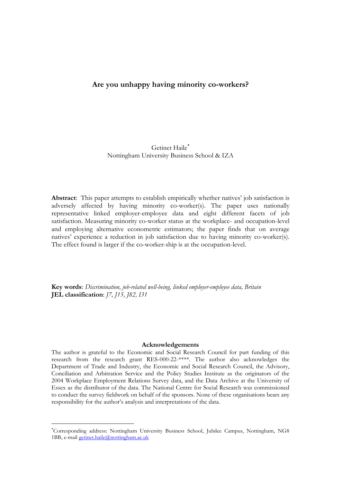# **Are you unhappy having minority co-workers?**

# Getinet Haile Nottingham University Business School & IZA

**Abstract**: This paper attempts to establish empirically whether natives' job satisfaction is adversely affected by having minority co-worker(s). The paper uses nationally representative linked employer-employee data and eight different facets of job satisfaction. Measuring minority co-worker status at the workplace- and occupation-level and employing alternative econometric estimators; the paper finds that on average natives' experience a reduction in job satisfaction due to having minority co-worker(s). The effect found is larger if the co-worker-ship is at the occupation-level.

**Key words**: *Discrimination, job-related well-being, linked employer-employee data, Britain* **JEL classification**: *J7, J15, J82, I31*

#### **Acknowledgements**

The author is grateful to the Economic and Social Research Council for part funding of this research from the research grant RES-000-22-\*\*\*\*. The author also acknowledges the Department of Trade and Industry, the Economic and Social Research Council, the Advisory, Conciliation and Arbitration Service and the Policy Studies Institute as the originators of the 2004 Workplace Employment Relations Survey data, and the Data Archive at the University of Essex as the distributor of the data. The National Centre for Social Research was commissioned to conduct the survey fieldwork on behalf of the sponsors. None of these organisations bears any responsibility for the author's analysis and interpretations of the data.

 $\overline{a}$ 

Corresponding address: Nottingham University Business School, Jubilee Campus, Nottingham, NG8 1BB, e-mail [getinet.haile@nottingham.ac.uk](mailto:getinet.haile@nottingham.ac.uk)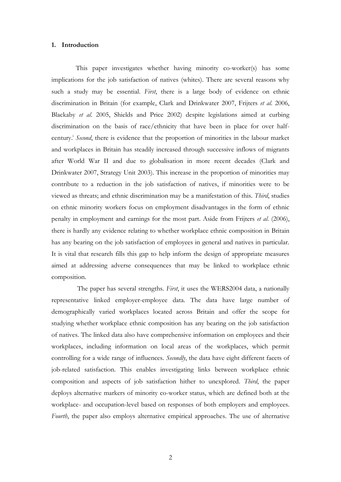#### **1. Introduction**

This paper investigates whether having minority co-worker(s) has some implications for the job satisfaction of natives (whites). There are several reasons why such a study may be essential. *First*, there is a large body of evidence on ethnic discrimination in Britain (for example, Clark and Drinkwater 2007, Frijters *et al*. 2006, Blackaby *et al*. 2005, Shields and Price 2002) despite legislations aimed at curbing discrimination on the basis of race/ethnicity that have been in place for over halfcentury. i *Second*, there is evidence that the proportion of minorities in the labour market and workplaces in Britain has steadily increased through successive inflows of migrants after World War II and due to globalisation in more recent decades (Clark and Drinkwater 2007, Strategy Unit 2003). This increase in the proportion of minorities may contribute to a reduction in the job satisfaction of natives, if minorities were to be viewed as threats; and ethnic discrimination may be a manifestation of this. *Third*, studies on ethnic minority workers focus on employment disadvantages in the form of ethnic penalty in employment and earnings for the most part. Aside from Frijters *et al*. (2006), there is hardly any evidence relating to whether workplace ethnic composition in Britain has any bearing on the job satisfaction of employees in general and natives in particular. It is vital that research fills this gap to help inform the design of appropriate measures aimed at addressing adverse consequences that may be linked to workplace ethnic composition.

The paper has several strengths. *First*, it uses the WERS2004 data, a nationally representative linked employer-employee data. The data have large number of demographically varied workplaces located across Britain and offer the scope for studying whether workplace ethnic composition has any bearing on the job satisfaction of natives. The linked data also have comprehensive information on employees and their workplaces, including information on local areas of the workplaces, which permit controlling for a wide range of influences. *Secondly*, the data have eight different facets of job-related satisfaction. This enables investigating links between workplace ethnic composition and aspects of job satisfaction hither to unexplored. *Third*, the paper deploys alternative markers of minority co-worker status, which are defined both at the workplace- and occupation-level based on responses of both employers and employees. *Fourth*, the paper also employs alternative empirical approaches. The use of alternative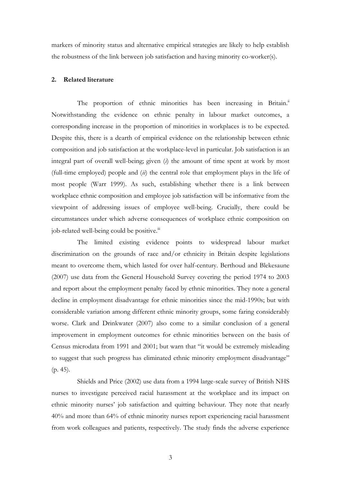markers of minority status and alternative empirical strategies are likely to help establish the robustness of the link between job satisfaction and having minority co-worker(s).

# **2. Related literature**

The proportion of ethnic minorities has been increasing in Britain.<sup>ii</sup> Notwithstanding the evidence on ethnic penalty in labour market outcomes, a corresponding increase in the proportion of minorities in workplaces is to be expected. Despite this, there is a dearth of empirical evidence on the relationship between ethnic composition and job satisfaction at the workplace-level in particular. Job satisfaction is an integral part of overall well-being; given (*i*) the amount of time spent at work by most (full-time employed) people and (*ii*) the central role that employment plays in the life of most people (Warr 1999). As such, establishing whether there is a link between workplace ethnic composition and employee job satisfaction will be informative from the viewpoint of addressing issues of employee well-being. Crucially, there could be circumstances under which adverse consequences of workplace ethnic composition on job-related well-being could be positive.<sup>iii</sup>

The limited existing evidence points to widespread labour market discrimination on the grounds of race and/or ethnicity in Britain despite legislations meant to overcome them, which lasted for over half-century. Berthoud and Blekesaune (2007) use data from the General Household Survey covering the period 1974 to 2003 and report about the employment penalty faced by ethnic minorities. They note a general decline in employment disadvantage for ethnic minorities since the mid-1990s; but with considerable variation among different ethnic minority groups, some faring considerably worse. Clark and Drinkwater (2007) also come to a similar conclusion of a general improvement in employment outcomes for ethnic minorities between on the basis of Census microdata from 1991 and 2001; but warn that "it would be extremely misleading to suggest that such progress has eliminated ethnic minority employment disadvantage" (p. 45).

Shields and Price (2002) use data from a 1994 large-scale survey of British NHS nurses to investigate perceived racial harassment at the workplace and its impact on ethnic minority nurses' job satisfaction and quitting behaviour. They note that nearly 40% and more than 64% of ethnic minority nurses report experiencing racial harassment from work colleagues and patients, respectively. The study finds the adverse experience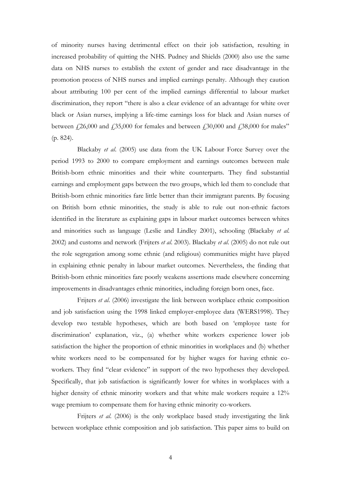of minority nurses having detrimental effect on their job satisfaction, resulting in increased probability of quitting the NHS. Pudney and Shields (2000) also use the same data on NHS nurses to establish the extent of gender and race disadvantage in the promotion process of NHS nurses and implied earnings penalty. Although they caution about attributing 100 per cent of the implied earnings differential to labour market discrimination, they report "there is also a clear evidence of an advantage for white over black or Asian nurses, implying a life-time earnings loss for black and Asian nurses of between  $\text{\emph{f}}26,000$  and  $\text{\emph{f}}35,000$  for females and between  $\text{\emph{f}}30,000$  and  $\text{\emph{f}}38,000$  for males" (p. 824).

Blackaby *et al*. (2005) use data from the UK Labour Force Survey over the period 1993 to 2000 to compare employment and earnings outcomes between male British-born ethnic minorities and their white counterparts. They find substantial earnings and employment gaps between the two groups, which led them to conclude that British-born ethnic minorities fare little better than their immigrant parents. By focusing on British born ethnic minorities, the study is able to rule out non-ethnic factors identified in the literature as explaining gaps in labour market outcomes between whites and minorities such as language (Leslie and Lindley 2001), schooling (Blackaby *et al*. 2002) and customs and network (Frijters *et al*. 2003). Blackaby *et al*. (2005) do not rule out the role segregation among some ethnic (and religious) communities might have played in explaining ethnic penalty in labour market outcomes. Nevertheless, the finding that British-born ethnic minorities fare poorly weakens assertions made elsewhere concerning improvements in disadvantages ethnic minorities, including foreign born ones, face.

Frijters *et al*. (2006) investigate the link between workplace ethnic composition and job satisfaction using the 1998 linked employer-employee data (WERS1998). They develop two testable hypotheses, which are both based on 'employee taste for discrimination' explanation, viz., (a) whether white workers experience lower job satisfaction the higher the proportion of ethnic minorities in workplaces and (b) whether white workers need to be compensated for by higher wages for having ethnic coworkers. They find "clear evidence" in support of the two hypotheses they developed. Specifically, that job satisfaction is significantly lower for whites in workplaces with a higher density of ethnic minority workers and that white male workers require a 12% wage premium to compensate them for having ethnic minority co-workers.

Frijters *et al*. (2006) is the only workplace based study investigating the link between workplace ethnic composition and job satisfaction. This paper aims to build on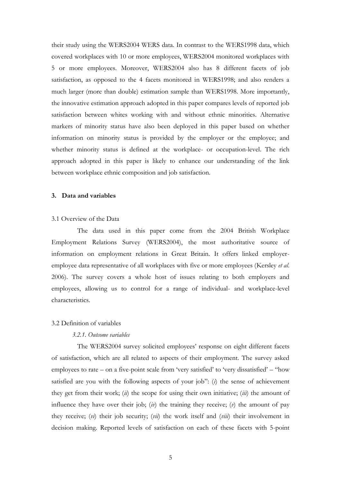their study using the WERS2004 WERS data. In contrast to the WERS1998 data, which covered workplaces with 10 or more employees, WERS2004 monitored workplaces with 5 or more employees. Moreover, WERS2004 also has 8 different facets of job satisfaction, as opposed to the 4 facets monitored in WERS1998; and also renders a much larger (more than double) estimation sample than WERS1998. More importantly, the innovative estimation approach adopted in this paper compares levels of reported job satisfaction between whites working with and without ethnic minorities. Alternative markers of minority status have also been deployed in this paper based on whether information on minority status is provided by the employer or the employee; and whether minority status is defined at the workplace- or occupation-level. The rich approach adopted in this paper is likely to enhance our understanding of the link between workplace ethnic composition and job satisfaction.

#### **3. Data and variables**

### 3.1 Overview of the Data

The data used in this paper come from the 2004 British Workplace Employment Relations Survey (WERS2004), the most authoritative source of information on employment relations in Great Britain. It offers linked employeremployee data representative of all workplaces with five or more employees (Kersley *et al*. 2006). The survey covers a whole host of issues relating to both employers and employees, allowing us to control for a range of individual- and workplace-level characteristics.

#### 3.2 Definition of variables

# *3.2.1. Outcome variables*

The WERS2004 survey solicited employees' response on eight different facets of satisfaction, which are all related to aspects of their employment. The survey asked employees to rate – on a five-point scale from 'very satisfied' to 'very dissatisfied' – "how satisfied are you with the following aspects of your job": (*i*) the sense of achievement they get from their work; (*ii*) the scope for using their own initiative; (*iii*) the amount of influence they have over their job; (*iv*) the training they receive; (*v*) the amount of pay they receive; (*vi*) their job security; (*vii*) the work itself and (*viii*) their involvement in decision making. Reported levels of satisfaction on each of these facets with 5-point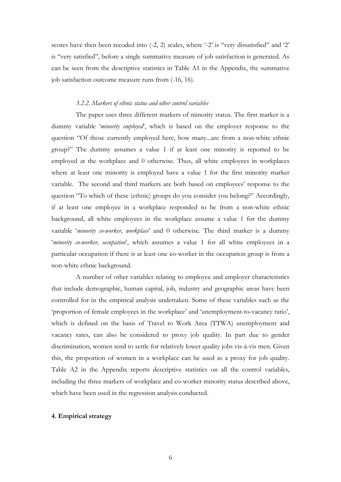scores have then been recoded into (-2, 2) scales, where '-2' is ''very dissatisfied'' and '2' is ''very satisfied'', before a single summative measure of job satisfaction is generated. As can be seen from the descriptive statistics in Table A1 in the Appendix, the summative job satisfaction outcome measure runs from (-16, 16).

### *3.2.2. Markers of ethnic status and other control variables*

The paper uses three different markers of minority status. The first marker is a dummy variable '*minority employed*', which is based on the employer response to the question "Of those currently employed here, how many...are from a non-white ethnic group?" The dummy assumes a value 1 if at least one minority is reported to be employed at the workplace and 0 otherwise. Thus, all white employees in workplaces where at least one minority is employed have a value 1 for the first minority marker variable. The second and third markers are both based on employees' response to the question "To which of these (ethnic) groups do you consider you belong?" Accordingly, if at least one employee in a workplace responded to be from a non-white ethnic background, all white employees in the workplace assume a value 1 for the dummy variable '*minority co-worker, workplace*' and 0 otherwise. The third marker is a dummy '*minority co-worker, occupation*', which assumes a value 1 for all white employees in a particular occupation if there is at least one co-worker in the occupation group is from a non-white ethnic background.

A number of other variables relating to employee and employer characteristics that include demographic, human capital, job, industry and geographic areas have been controlled for in the empirical analysis undertaken. Some of these variables such as the 'proportion of female employees in the workplace' and 'unemployment-to-vacancy ratio', which is defined on the basis of Travel to Work Area (TTWA) unemployment and vacancy rates, can also be considered to proxy job quality. In part due to gender discrimination, women tend to settle for relatively lower quality jobs vis-à-vis men. Given this, the proportion of women in a workplace can be used as a proxy for job quality. Table A2 in the Appendix reports descriptive statistics on all the control variables, including the three markers of workplace and co-worker minority status described above, which have been used in the regression analysis conducted.

#### **4. Empirical strategy**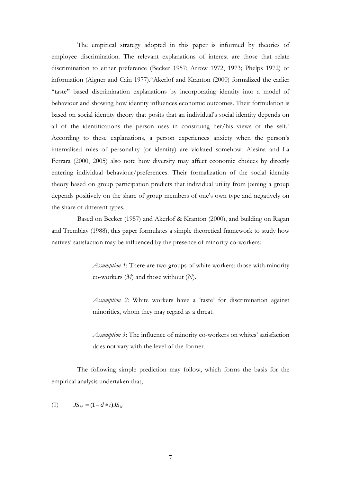The empirical strategy adopted in this paper is informed by theories of employee discrimination. The relevant explanations of interest are those that relate discrimination to either preference (Becker 1957; Arrow 1972, 1973; Phelps 1972) or information (Aigner and Cain 1977).<sup>iv</sup>Akerlof and Kranton (2000) formalized the earlier "taste" based discrimination explanations by incorporating identity into a model of behaviour and showing how identity influences economic outcomes. Their formulation is based on social identity theory that posits that an individual's social identity depends on all of the identifications the person uses in construing her/his views of the self.<sup>v</sup> According to these explanations, a person experiences anxiety when the person's internalised rules of personality (or identity) are violated somehow. Alesina and La Ferrara (2000, 2005) also note how diversity may affect economic choices by directly entering individual behaviour/preferences. Their formalization of the social identity theory based on group participation predicts that individual utility from joining a group depends positively on the share of group members of one's own type and negatively on the share of different types.

Based on Becker (1957) and Akerlof & Kranton (2000), and building on Ragan and Tremblay (1988), this paper formulates a simple theoretical framework to study how natives' satisfaction may be influenced by the presence of minority co-workers:

> *Assumption 1*: There are two groups of white workers: those with minority co-workers (*M*) and those without (*N*).

> *Assumption 2*: White workers have a 'taste' for discrimination against minorities, whom they may regard as a threat.

> *Assumption 3*: The influence of minority co-workers on whites' satisfaction does not vary with the level of the former.

The following simple prediction may follow, which forms the basis for the empirical analysis undertaken that;

(1)  $JS_{M} = (1 - d * i)JS_{N}$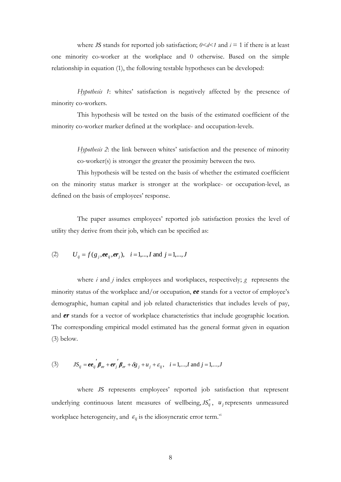where *JS* stands for reported job satisfaction;  $0 < d < 1$  and  $i = 1$  if there is at least one minority co-worker at the workplace and 0 otherwise. Based on the simple relationship in equation (1), the following testable hypotheses can be developed:

*Hypothesis 1*: whites' satisfaction is negatively affected by the presence of minority co-workers.

This hypothesis will be tested on the basis of the estimated coefficient of the minority co-worker marker defined at the workplace- and occupation-levels.

> *Hypothesis 2*: the link between whites' satisfaction and the presence of minority co-worker(s) is stronger the greater the proximity between the two.

This hypothesis will be tested on the basis of whether the estimated coefficient on the minority status marker is stronger at the workplace- or occupation-level, as defined on the basis of employees' response.

The paper assumes employees' reported job satisfaction proxies the level of utility they derive from their job, which can be specified as:

(2) 
$$
U_{ij} = f(g_j, ee_{ij}, er_j), i = 1,..., I
$$
 and  $j = 1,..., J$ 

where *i* and *j* index employees and workplaces, respectively; *g* represents the minority status of the workplace and/or occupation, *ee* stands for a vector of employee's demographic, human capital and job related characteristics that includes levels of pay, and *er* stands for a vector of workplace characteristics that include geographic location. The corresponding empirical model estimated has the general format given in equation (3) below.

(3) 
$$
JS_{ij} = ee_{ij}' \beta_{ee} + er_j' \beta_{er} + \delta g_j + u_j + \varepsilon_{ij}, \quad i = 1,...,I \text{ and } j = 1,...,J
$$

where *JS* represents employees' reported job satisfaction that represent underlying continuous latent measures of wellbeing,  $JS_{ij}^*$ ,  $u_j$  represents unmeasured workplace heterogeneity, and  $\varepsilon_{ij}$  is the idiosyncratic error term.<sup>vi</sup>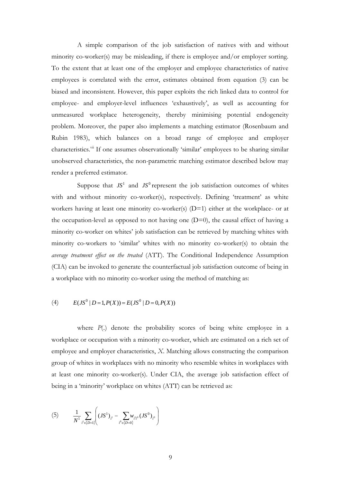A simple comparison of the job satisfaction of natives with and without minority co-worker(s) may be misleading, if there is employee and/or employer sorting. To the extent that at least one of the employer and employee characteristics of native employees is correlated with the error, estimates obtained from equation (3) can be biased and inconsistent. However, this paper exploits the rich linked data to control for employee- and employer-level influences 'exhaustively', as well as accounting for unmeasured workplace heterogeneity, thereby minimising potential endogeneity problem. Moreover, the paper also implements a matching estimator (Rosenbaum and Rubin 1983), which balances on a broad range of employee and employer characteristics.<sup>vii</sup> If one assumes observationally 'similar' employees to be sharing similar unobserved characteristics, the non-parametric matching estimator described below may render a preferred estimator.

Suppose that  $JS<sup>1</sup>$  and  $JS<sup>0</sup>$  represent the job satisfaction outcomes of whites with and without minority co-worker(s), respectively. Defining 'treatment' as white workers having at least one minority co-worker(s) (D=1) either at the workplace- or at the occupation-level as opposed to not having one  $(D=0)$ , the causal effect of having a minority co-worker on whites' job satisfaction can be retrieved by matching whites with minority co-workers to 'similar' whites with no minority co-worker(s) to obtain the *average treatment effect on the treated* (ATT). The Conditional Independence Assumption (CIA) can be invoked to generate the counterfactual job satisfaction outcome of being in a workplace with no minority co-worker using the method of matching as:

(4) 
$$
E(JS^0 | D=1, P(X)) = E(JS^0 | D=0, P(X))
$$

where *P*(.) denote the probability scores of being white employee in a workplace or occupation with a minority co-worker, which are estimated on a rich set of employee and employer characteristics, *X*. Matching allows constructing the comparison group of whites in workplaces with no minority who resemble whites in workplaces with at least one minority co-worker(s). Under CIA, the average job satisfaction effect of being in a 'minority' workplace on whites (ATT) can be retrieved as:

(5) 
$$
\frac{1}{N^{1}}\sum_{i^{1}\in\{D=1\}}\left((JS^{1})_{i^{1}}-\sum_{i^{0}\in\{D=0\}}w_{i^{1}i^{0}}(JS^{0})_{i^{0}}\right)
$$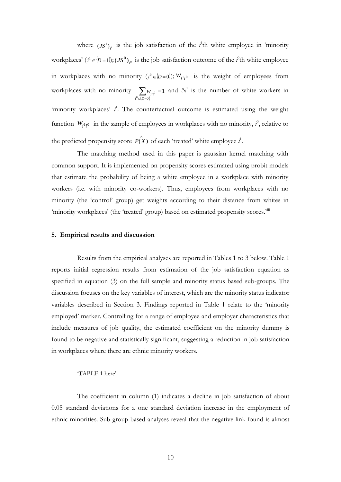where  $(JS^1)_{,1}$  $JS^1$ <sub>i</sub> is the job satisfaction of the *i*<sup>1</sup>th white employee in 'minority workplaces'  $(i^1 \in [D=1]); (JS^0)_{,0}$  $JS^0$ <sub> $i$ </sub> is the job satisfaction outcome of the *i*<sup>0</sup>th white employee in workplaces with no minority  $(i^0 \in [D=0])$ ;  $W_{i^1i^0}$  is the weight of employees from workplaces with no minority  $\sum_{v \in \{D=0\}} w_v$  $=$  $\sum_{0 \in \{D=0\}} w_{i^1 i^0} = 1$  $\sum_{i^0 \in \{D=0\}} w_{i^1 i^0} = 1$  and  $N^1$  is the number of white workers in 'minority workplaces'  $i^1$ . The counterfactual outcome is estimated using the weight function  $W_{i^1i^0}$  in the sample of employees in workplaces with no minority,  $i^0$ , relative to the predicted propensity score  $P(X)$  of each 'treated' white employee  $i^!$ .

The matching method used in this paper is gaussian kernel matching with common support. It is implemented on propensity scores estimated using probit models that estimate the probability of being a white employee in a workplace with minority workers (i.e. with minority co-workers). Thus, employees from workplaces with no minority (the 'control' group) get weights according to their distance from whites in 'minority workplaces' (the 'treated' group) based on estimated propensity scores.<sup>viii</sup>

# **5. Empirical results and discussion**

Results from the empirical analyses are reported in Tables 1 to 3 below. Table 1 reports initial regression results from estimation of the job satisfaction equation as specified in equation (3) on the full sample and minority status based sub-groups. The discussion focuses on the key variables of interest, which are the minority status indicator variables described in Section 3. Findings reported in Table 1 relate to the 'minority employed' marker. Controlling for a range of employee and employer characteristics that include measures of job quality, the estimated coefficient on the minority dummy is found to be negative and statistically significant, suggesting a reduction in job satisfaction in workplaces where there are ethnic minority workers.

## 'TABLE 1 here'

The coefficient in column (1) indicates a decline in job satisfaction of about 0.05 standard deviations for a one standard deviation increase in the employment of ethnic minorities. Sub-group based analyses reveal that the negative link found is almost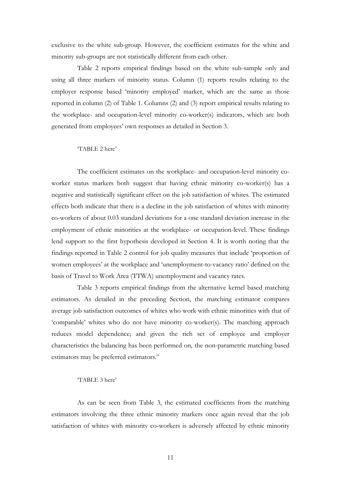exclusive to the white sub-group. However, the coefficient estimates for the white and minority sub-groups are not statistically different from each other.

Table 2 reports empirical findings based on the white sub-sample only and using all three markers of minority status. Column (1) reports results relating to the employer response based 'minority employed' marker, which are the same as those reported in column (2) of Table 1. Columns (2) and (3) report empirical results relating to the workplace- and occupation-level minority co-worker(s) indicators, which are both generated from employees' own responses as detailed in Section 3.

# 'TABLE 2 here'

The coefficient estimates on the workplace- and occupation-level minority coworker status markers both suggest that having ethnic minority co-worker(s) has a negative and statistically significant effect on the job satisfaction of whites. The estimated effects both indicate that there is a decline in the job satisfaction of whites with minority co-workers of about 0.03 standard deviations for a one standard deviation increase in the employment of ethnic minorities at the workplace- or occupation-level. These findings lend support to the first hypothesis developed in Section 4. It is worth noting that the findings reported in Table 2 control for job quality measures that include 'proportion of women employees' at the workplace and 'unemployment-to-vacancy ratio' defined on the basis of Travel to Work Area (TTWA) unemployment and vacancy rates.

Table 3 reports empirical findings from the alternative kernel based matching estimators. As detailed in the preceding Section, the matching estimator compares average job satisfaction outcomes of whites who work with ethnic minorities with that of 'comparable' whites who do not have minority co-worker(s). The matching approach reduces model dependence; and given the rich set of employee and employer characteristics the balancing has been performed on, the non-parametric matching based estimators may be preferred estimators.<sup>ix</sup>

# 'TABLE 3 here'

As can be seen from Table 3, the estimated coefficients from the matching estimators involving the three ethnic minority markers once again reveal that the job satisfaction of whites with minority co-workers is adversely affected by ethnic minority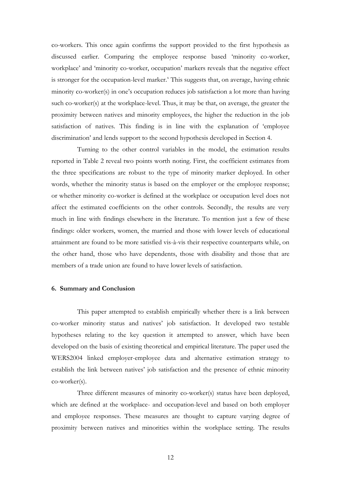co-workers. This once again confirms the support provided to the first hypothesis as discussed earlier. Comparing the employee response based 'minority co-worker, workplace' and 'minority co-worker, occupation' markers reveals that the negative effect is stronger for the occupation-level marker.<sup>x</sup> This suggests that, on average, having ethnic minority co-worker(s) in one's occupation reduces job satisfaction a lot more than having such co-worker(s) at the workplace-level. Thus, it may be that, on average, the greater the proximity between natives and minority employees, the higher the reduction in the job satisfaction of natives. This finding is in line with the explanation of 'employee discrimination' and lends support to the second hypothesis developed in Section 4.

Turning to the other control variables in the model, the estimation results reported in Table 2 reveal two points worth noting. First, the coefficient estimates from the three specifications are robust to the type of minority marker deployed. In other words, whether the minority status is based on the employer or the employee response; or whether minority co-worker is defined at the workplace or occupation level does not affect the estimated coefficients on the other controls. Secondly, the results are very much in line with findings elsewhere in the literature. To mention just a few of these findings: older workers, women, the married and those with lower levels of educational attainment are found to be more satisfied vis-à-vis their respective counterparts while, on the other hand, those who have dependents, those with disability and those that are members of a trade union are found to have lower levels of satisfaction.

#### **6. Summary and Conclusion**

This paper attempted to establish empirically whether there is a link between co-worker minority status and natives' job satisfaction. It developed two testable hypotheses relating to the key question it attempted to answer, which have been developed on the basis of existing theoretical and empirical literature. The paper used the WERS2004 linked employer-employee data and alternative estimation strategy to establish the link between natives' job satisfaction and the presence of ethnic minority co-worker(s).

Three different measures of minority co-worker(s) status have been deployed, which are defined at the workplace- and occupation-level and based on both employer and employee responses. These measures are thought to capture varying degree of proximity between natives and minorities within the workplace setting. The results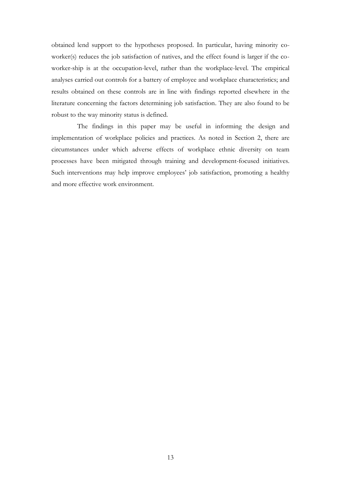obtained lend support to the hypotheses proposed. In particular, having minority coworker(s) reduces the job satisfaction of natives, and the effect found is larger if the coworker-ship is at the occupation-level, rather than the workplace-level. The empirical analyses carried out controls for a battery of employee and workplace characteristics; and results obtained on these controls are in line with findings reported elsewhere in the literature concerning the factors determining job satisfaction. They are also found to be robust to the way minority status is defined.

The findings in this paper may be useful in informing the design and implementation of workplace policies and practices. As noted in Section 2, there are circumstances under which adverse effects of workplace ethnic diversity on team processes have been mitigated through training and development-focused initiatives. Such interventions may help improve employees' job satisfaction, promoting a healthy and more effective work environment.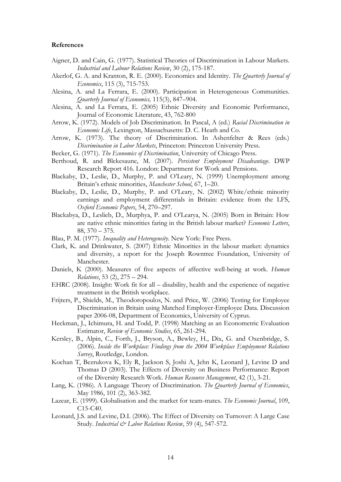#### **References**

- Aigner, D. and Cain, G. (1977). Statistical Theories of Discrimination in Labour Markets. *Industrial and Labour Relations Review*, 30 (2), 175-187.
- Akerlof, G. A. and Kranton, R. E. (2000). Economics and Identity. *The Quarterly Journal of Economics*, 115 (3), 715-753.
- Alesina, A. and La Ferrara, E. (2000). Participation in Heterogeneous Communities. *Quarterly Journal of Economics,* 115(3), 847–904.
- Alesina, A. and La Ferrara, E. (2005) Ethnic Diversity and Economic Performance, Journal of Economic Literature, 43, 762-800
- Arrow, K. (1972). Models of Job Discrimination. In Pascal, A (ed.) *Racial Discrimination in Economic Life*, Lexington, Massachusetts: D. C. Heath and Co.
- Arrow, K. (1973). The theory of Discrimination. In Ashenfelter & Rees (eds.) *Discrimination in Labor Markets*, Princeton: Princeton University Press.
- Becker, G. (1971). *The Economics of Discrimination*, University of Chicago Press.
- Berthoud, R. and Blekesaune, M. (2007). *Persistent Employment Disadvantage*. DWP Research Report 416. London: Department for Work and Pensions.
- Blackaby, D., Leslie, D., Murphy, P. and O'Leary, N. (1999) Unemployment among Britain's ethnic minorities, *Manchester School*, 67, 1–20.
- Blackaby, D., Leslie, D., Murphy, P. and O'Leary, N. (2002) White/ethnic minority earnings and employment differentials in Britain: evidence from the LFS, *Oxford Economic Papers*, 54, 270–297.
- Blackabya, D., Leslieb, D., Murphya, P. and O'Learya, N. (2005) Born in Britain: How are native ethnic minorities faring in the British labour market? *Economic Letters*, 88, 370 – 375.
- Blau, P. M. (1977). *Inequality and Heterogeneity*. New York: Free Press.
- Clark, K. and Drinkwater, S. (2007) Ethnic Minorities in the labour market: dynamics and diversity, a report for the Joseph Rowntree Foundation, University of Manchester.
- Daniels, K (2000). Measures of five aspects of affective well-being at work. *Human Relations*, 53 (2), 275 – 294.
- EHRC (2008). Insight: Work fit for all disability, health and the experience of negative treatment in the British workplace.
- Frijters, P., Shields, M., Theodoropoulos, N. and Price, W. (2006) Testing for Employee Discrimination in Britain using Matched Employer-Employee Data. Discussion paper 2006-08, Department of Economics, University of Cyprus.
- Heckman, J., Ichimura, H. and Todd, P. (1998) Matching as an Econometric Evaluation Estimator, *Review of Economic Studies*, 65, 261-294.
- Kersley, B., Alpin, C., Forth, J., Bryson, A., Bewley, H., Dix, G. and Oxenbridge, S. (2006). *Inside the Workplace: Findings from the 2004 Workplace Employment Relations Survey*, Routledge, London.
- Kochan T, Bezrukova K, Ely R, Jackson S, Joshi A, Jehn K, Leonard J, Levine D and Thomas D (2003). The Effects of Diversity on Business Performance: Report of the Diversity Research Work. *Human Resource Management*, 42 (1), 3-21.
- Lang, K. (1986). A Language Theory of Discrimination. *The Quarterly Journal of Economics*, May 1986, 101 (2), 363-382.
- Lazear, E. (1999). Globalisation and the market for team-mates. *The Economic Journal*, 109, C15-C40.
- Leonard, J.S. and Levine, D.I. (2006). The Effect of Diversity on Turnover: A Large Case Study. *Industrial & Labor Relations Review*, 59 (4), 547-572.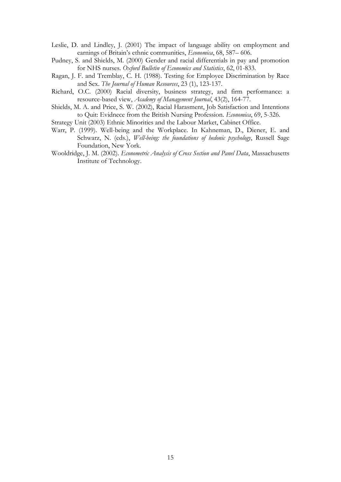- Leslie, D. and Lindley, J. (2001) The impact of language ability on employment and earnings of Britain's ethnic communities, *Economica*, 68, 587– 606.
- Pudney, S. and Shields, M. (2000) Gender and racial differentials in pay and promotion for NHS nurses. *Oxford Bulletin of Economics and Statistics*, 62, 01-833.
- Ragan, J. F. and Tremblay, C. H. (1988). Testing for Employee Discrimination by Race and Sex. *The Journal of Human Resources*, 23 (1), 123-137.
- Richard, O.C. (2000) Racial diversity, business strategy, and firm performance: a resource-based view, *Academy of Management Journal*, 43(2), 164-77.
- Shields, M. A. and Price, S. W. (2002), Racial Harasment, Job Satisfaction and Intentions to Quit: Evidnece from the British Nursing Profession. *Economica*, 69, 5-326.
- Strategy Unit (2003) Ethnic Minorities and the Labour Market, Cabinet Office.
- Warr, P. (1999). Well-being and the Workplace. In Kahneman, D., Diener, E. and Schwarz, N. (eds.), *Well-being: the foundations of hedonic psychology*, Russell Sage Foundation, New York.
- Wooldridge, J. M. (2002). *Econometric Analysis of Cross Section and Panel Data*, Massachusetts Institute of Technology.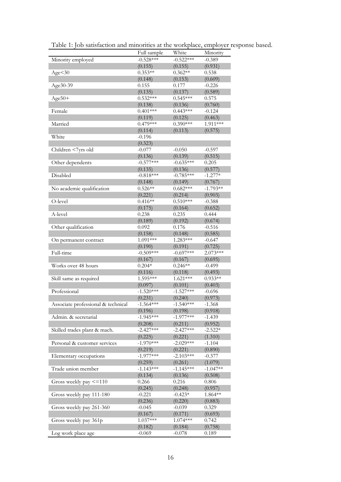|                                    | Full sample | White       | Minority   |
|------------------------------------|-------------|-------------|------------|
| Minority employed                  | $-0.528***$ | $-0.522***$ | $-0.389$   |
|                                    | (0.155)     | (0.155)     | (0.931)    |
| Age < 30                           | $0.353**$   | $0.362**$   | 0.538      |
|                                    | (0.148)     | (0.153)     | (0.609)    |
| Age30-39                           | 0.155       | 0.177       | $-0.226$   |
|                                    | (0.135)     | (0.137)     | (0.589)    |
| $Age50+$                           | $0.532***$  | $0.545***$  | 0.575      |
|                                    | (0.138)     | (0.136)     | (0.760)    |
| Female                             | $0.401***$  | $0.443***$  | $-0.124$   |
|                                    | (0.119)     | (0.125)     | (0.463)    |
| Married                            | $0.479***$  | $0.390***$  | 1.911***   |
|                                    | (0.114)     | (0.113)     | (0.575)    |
| White                              | $-0.196$    |             |            |
|                                    | (0.323)     |             |            |
| Children <7yrs old                 | $-0.077$    | $-0.050$    | $-0.597$   |
|                                    | (0.136)     | (0.139)     | (0.515)    |
| Other dependents                   | $-0.577***$ | $-0.635***$ | 0.205      |
|                                    | (0.135)     | (0.136)     | (0.577)    |
| Disabled                           | $-0.818***$ | $-0.785***$ | $-1.277*$  |
|                                    | (0.148)     | (0.149)     | (0.767)    |
| No academic qualification          | $0.526**$   | $0.682***$  | $-1.793**$ |
|                                    | (0.221)     | (0.214)     | (0.903)    |
| O-level                            | $0.416**$   | $0.510***$  | $-0.388$   |
|                                    |             |             |            |
|                                    | (0.175)     | (0.164)     | (0.652)    |
| A-level                            | 0.238       | 0.235       | 0.444      |
|                                    | (0.189)     | (0.192)     | (0.674)    |
| Other qualification                | 0.092       | 0.176       | $-0.516$   |
|                                    | (0.158)     | (0.148)     | (0.585)    |
| On permanent contract              | 1.091***    | 1.283***    | $-0.647$   |
|                                    | (0.190)     | (0.191)     | (0.725)    |
| Full-time                          | $-0.509***$ | $-0.697***$ | $2.073***$ |
|                                    | (0.167)     | (0.167)     | (0.695)    |
| Works over 48 hours                | $0.204*$    | $0.246**$   | $-0.499$   |
|                                    | (0.116)     | (0.118)     | (0.493)    |
| Skill same as required             | 1.595***    | $1.621***$  | $0.933**$  |
|                                    | (0.097)     | (0.101)     | (0.403)    |
| Professional                       | $-1.520***$ | $-1.527***$ | $-0.696$   |
|                                    | (0.231)     | (0.240)     | (0.973)    |
| Associate professional & technical | $-1.564***$ | $-1.540***$ | $-1.368$   |
|                                    | (0.196)     | (0.198)     | (0.918)    |
| Admin. & secretarial               | $-1.945***$ | $-1.977***$ | $-1.439$   |
|                                    | (0.208)     | (0.211)     | (0.952)    |
| Skilled trades plant & mach.       | $-2.427***$ | $-2.427***$ | $-2.522*$  |
|                                    | (0.225)     | (0.221)     | (1.310)    |
| Personal & customer services       | $-1.970***$ | $-2.029***$ | $-1.104$   |
|                                    | (0.219)     | (0.221)     | (0.890)    |
| Elementary occupations             | $-1.977***$ | $-2.103***$ | $-0.377$   |
|                                    | (0.259)     | (0.261)     | (1.079)    |
| Trade union member                 | $-1.143***$ | $-1.145***$ | $-1.047**$ |
|                                    | (0.134)     | (0.136)     | (0.508)    |
| Gross weekly pay <= 110            | 0.266       | 0.216       | 0.806      |
|                                    | (0.245)     | (0.248)     | (0.957)    |
| Gross weekly pay 111-180           | $-0.221$    | $-0.423*$   | 1.864**    |
|                                    | (0.236)     | (0.220)     | (0.883)    |
| Gross weekly pay 261-360           | $-0.045$    | $-0.039$    | 0.329      |
|                                    | (0.167)     | (0.171)     | (0.693)    |
| Gross weekly pay 361p              | $1.037***$  | 1.074***    | 0.742      |
|                                    | (0.182)     | (0.184)     | (0.758)    |
| Log work place age                 | $-0.069$    | $-0.078$    | 0.189      |
|                                    |             |             |            |

Table 1: Job satisfaction and minorities at the workplace, employer response based.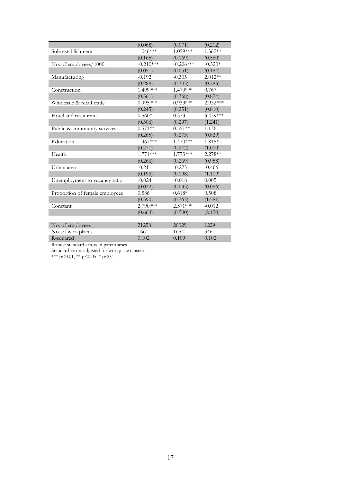|                                | (0.068)     | (0.071)     | (0.212)   |
|--------------------------------|-------------|-------------|-----------|
| Sole establishment             | $1.046***$  | 1.059***    | 1.362**   |
|                                | (0.165)     | (0.169)     | (0.560)   |
| No. of employees/1000          | $-0.210***$ | $-0.206***$ | $-0.320*$ |
|                                | (0.051)     | (0.051)     | (0.184)   |
| Manufacturing                  | $-0.192$    | $-0.305$    | $2.012**$ |
|                                | (0.289)     | (0.303)     | (0.783)   |
| Construction                   | 1.499***    | $1.470***$  | 0.767     |
|                                | (0.361)     | (0.368)     | (0.824)   |
| Wholesale & retail trade       | $0.995***$  | $0.933***$  | 2.932***  |
|                                | (0.245)     | (0.251)     | (0.810)   |
| Hotel and restaurant           | $0.560*$    | 0.373       | 3.439***  |
|                                | (0.306)     | (0.297)     | (1.241)   |
| Public & community services    | $0.571**$   | $0.551**$   | 1.136     |
|                                | (0.265)     | (0.273)     | (0.829)   |
| Education                      | $1.467***$  | 1.470***    | 1.815*    |
|                                | (0.271)     | (0.272)     | (1.000)   |
| Health                         | $1.771***$  | 1.773***    | 2.278**   |
|                                | (0.266)     | (0.269)     | (0.958)   |
| Urban area                     | $-0.211$    | $-0.225$    | $-0.466$  |
|                                | (0.196)     | (0.198)     | (1.109)   |
| Unemployment to vacancy ratio  | $-0.024$    | $-0.018$    | 0.005     |
|                                | (0.032)     | (0.033)     | (0.086)   |
| Proportion of female employees | 0.586       | $0.618*$    | 0.508     |
|                                | (0.390)     | (0.363)     | (1.581)   |
| Constant                       | 2.790***    | $2.571***$  | $-0.012$  |
|                                | (0.664)     | (0.500)     | (2.120)   |
|                                |             |             |           |
| No. of employees               | 21258       | 20029       | 1229      |
| No. of workplaces              | 1661        | 1654        | 546       |
| R-squared                      | 0.102       | 0.109       | 0.102     |

Robust standard errors in parentheses

Standard errors adjusted for workplace clusters

\*\*\* p<0.01, \*\* p<0.05, \* p<0.1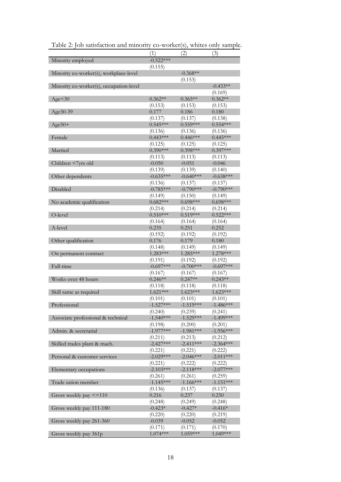|                                         | (1)                   | (2)                   | (3)                   |
|-----------------------------------------|-----------------------|-----------------------|-----------------------|
| Minority employed                       | $-0.522***$           |                       |                       |
|                                         | (0.155)               |                       |                       |
| Minority co-worker(s), workplace-level  |                       | $-0.368**$            |                       |
|                                         |                       | (0.153)               |                       |
| Minority co-worker(s), occupation-level |                       |                       | $-0.433**$            |
|                                         |                       |                       | (0.169)               |
| Age < 30                                | $0.362**$             | $0.365**$             | $0.362**$             |
|                                         | (0.153)               | (0.153)               | (0.153)               |
| Age30-39                                | 0.177                 | 0.186                 | 0.180                 |
|                                         | (0.137)               | (0.137)               | (0.138)               |
| $Age50+$                                | $0.545***$            | $0.559***$            | $0.554***$            |
|                                         |                       |                       |                       |
| Female                                  | (0.136)<br>$0.443***$ | (0.136)<br>$0.446***$ | (0.136)<br>$0.445***$ |
|                                         |                       |                       |                       |
|                                         | (0.125)               | (0.125)               | (0.125)               |
| Married                                 | $0.390***$            | $0.398***$            | $0.397***$            |
|                                         | (0.113)               | (0.113)               | (0.113)               |
| Children <7yrs old                      | $-0.050$              | $-0.051$              | $-0.046$              |
|                                         | (0.139)               | (0.139)               | (0.140)               |
| Other dependents                        | $-0.635***$           | $-0.640***$           | $-0.638***$           |
|                                         | (0.136)               | (0.137)               | (0.137)               |
| Disabled                                | $-0.785***$           | $-0.790***$           | $-0.790***$           |
|                                         | (0.149)               | (0.150)               | (0.149)               |
| No academic qualification               | $0.682***$            | $0.698***$            | $0.698***$            |
|                                         | (0.214)               | (0.214)               | (0.214)               |
| O-level                                 | $0.510***$            | $0.519***$            | $0.522***$            |
|                                         | (0.164)               | (0.164)               | (0.164)               |
| A-level                                 | 0.235                 | 0.251                 | 0.252                 |
|                                         | (0.192)               | (0.192)               | (0.192)               |
| Other qualification                     | 0.176                 | 0.179                 | 0.180                 |
|                                         |                       |                       |                       |
|                                         | (0.148)               | (0.149)               | (0.149)               |
| On permanent contract                   | $1.283***$            | 1.285***              | 1.278 ***             |
|                                         | (0.191)               | (0.192)               | (0.192)               |
| Full-time                               | $-0.697***$           | $-0.700***$           | $-0.697***$           |
|                                         | (0.167)               | (0.167)               | (0.167)               |
| Works over 48 hours                     | $0.246**$             | $0.247**$             | $0.243**$             |
|                                         | (0.118)               | (0.118)               | (0.118)               |
| Skill same as required                  | $1.621***$            | $1.623***$            | $1.623***$            |
|                                         | (0.101)               | (0.101)               | (0.101)               |
| Professional                            | $-1.527***$           | $-1.519***$           | $-1.486***$           |
|                                         | (0.240)               | (0.239)               | (0.241)               |
| Associate professional & technical      | $-1.540***$           | $-1.529***$           | $-1.499***$           |
|                                         | (0.198)               | (0.200)               | (0.201)               |
| Admin. & secretarial                    | $-1.977***$           | $-1.981***$           | $-1.956***$           |
|                                         |                       |                       |                       |
|                                         | (0.211)               | (0.213)               | (0.212)               |
| Skilled trades plant & mach.            | $-2.427***$           | $-2.411***$           | $-2.364***$           |
|                                         | (0.221)               | (0.221)               | (0.222)               |
| Personal & customer services            | $-2.029***$           | $-2.046***$           | $-2.011***$           |
|                                         | (0.221)               | (0.222)               | (0.222)               |
| Elementary occupations                  | $-2.103***$           | $-2.118***$           | $-2.077***$           |
|                                         | (0.261)               | (0.261)               | (0.259)               |
| Trade union member                      | $-1.145***$           | $-1.166***$           | $-1.151***$           |
|                                         | (0.136)               | (0.137)               | (0.137)               |
| Gross weekly pay <= 110                 | 0.216                 | 0.237                 | 0.250                 |
|                                         | (0.248)               | (0.249)               | (0.248)               |
| Gross weekly pay 111-180                | $-0.423*$             | $-0.427*$             | $-0.416*$             |
|                                         | (0.220)               | (0.220)               | (0.219)               |
| Gross weekly pay 261-360                | $-0.039$              | $-0.052$              | $-0.052$              |
|                                         | (0.171)               | (0.171)               | (0.170)               |
|                                         | 1.074***              | 1.059***              | 1.049***              |
| Gross weekly pay 361p                   |                       |                       |                       |

Table 2: Job satisfaction and minority co-worker(s), whites only sample.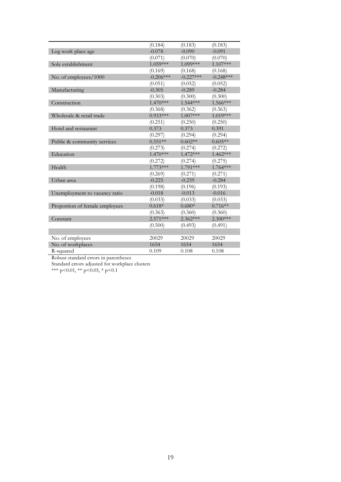|                                | (0.184)     | (0.183)     | (0.183)     |
|--------------------------------|-------------|-------------|-------------|
| Log work place age             | $-0.078$    | $-0.090$    | $-0.091$    |
|                                | (0.071)     | (0.070)     | (0.070)     |
| Sole establishment             | 1.059***    | 1.099***    | $1.107***$  |
|                                | (0.169)     | (0.168)     | (0.168)     |
| No. of employees/1000          | $-0.206***$ | $-0.227***$ | $-0.248***$ |
|                                | (0.051)     | (0.052)     | (0.052)     |
| Manufacturing                  | $-0.305$    | $-0.289$    | $-0.284$    |
|                                | (0.303)     | (0.300)     | (0.300)     |
| Construction                   | $1.470***$  | 1.544 ***   | 1.566***    |
|                                | (0.368)     | (0.362)     | (0.363)     |
| Wholesale & retail trade       | $0.933***$  | 1.007***    | 1.019***    |
|                                | (0.251)     | (0.250)     | (0.250)     |
| Hotel and restaurant           | 0.373       | 0.373       | 0.391       |
|                                | (0.297)     | (0.294)     | (0.294)     |
| Public & community services    | $0.551**$   | $0.602**$   | $0.605**$   |
|                                | (0.273)     | (0.274)     | (0.272)     |
| Education                      | $1.470***$  | $1.472***$  | $1.462***$  |
|                                | (0.272)     | (0.274)     | (0.275)     |
| Health                         | $1.773***$  | 1.791***    | $1.764***$  |
|                                | (0.269)     | (0.271)     | (0.271)     |
| Urban area                     | $-0.225$    | $-0.259$    | $-0.284$    |
|                                | (0.198)     | (0.196)     | (0.193)     |
| Unemployment to vacancy ratio  | $-0.018$    | $-0.013$    | $-0.016$    |
|                                | (0.033)     | (0.033)     | (0.033)     |
| Proportion of female employees | $0.618*$    | $0.680*$    | $0.716**$   |
|                                | (0.363)     | (0.360)     | (0.360)     |
| Constant                       | $2.571***$  | $2.362***$  | $2.300***$  |
|                                | (0.500)     | (0.493)     | (0.491)     |
|                                |             |             |             |
| No. of employees               | 20029       | 20029       | 20029       |
| No. of workplaces              | 1654        | 1654        | 1654        |
| R-squared                      | 0.109       | 0.108       | 0.108       |

Robust standard errors in parentheses

Standard errors adjusted for workplace clusters

\*\*\* p<0.01, \*\* p<0.05, \* p<0.1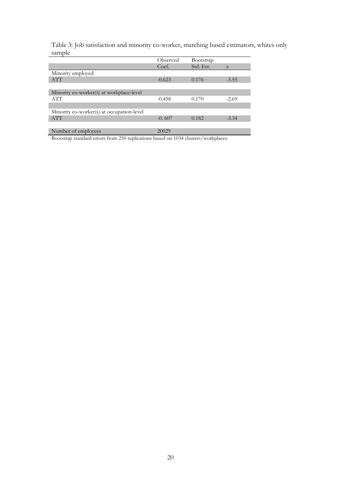Table 3: Job satisfaction and minority co-worker, matching based estimators, whites only sample

|                                           | Observed | Bootstrap |         |
|-------------------------------------------|----------|-----------|---------|
|                                           | Coef.    | Std. Err. | Z       |
| Minority employed                         |          |           |         |
| <b>ATT</b>                                | $-0.623$ | 0.176     | $-3.55$ |
|                                           |          |           |         |
| Minority co-worker(s) at workplace-level  |          |           |         |
| <b>ATT</b>                                | $-0.458$ | 0.170     | $-2.69$ |
|                                           |          |           |         |
| Minority co-worker(s) at occupation-level |          |           |         |
| <b>ATT</b>                                | $-0.607$ | 0.182     | $-3.34$ |
|                                           |          |           |         |
| Number of employees                       | 20029    |           |         |

Bootstrap standard errors from 250 replications based on 1034 clusters/workplaces.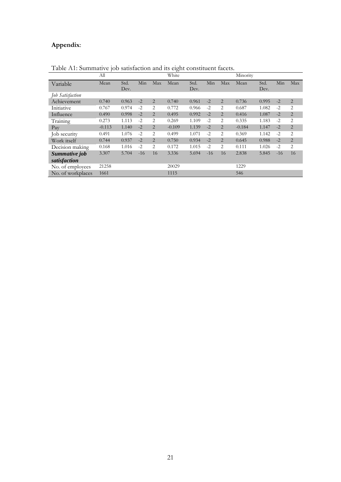# **Appendix**:

|                          | All      |              |       |                | $\circ$<br>White |              |       |                | Minority |              |       |                |
|--------------------------|----------|--------------|-------|----------------|------------------|--------------|-------|----------------|----------|--------------|-------|----------------|
| Variable                 | Mean     | Std.<br>Dev. | Min   | Max            | Mean             | Std.<br>Dev. | Min   | Max            | Mean     | Std.<br>Dev. | Min   | Max            |
| Job Satisfaction         |          |              |       |                |                  |              |       |                |          |              |       |                |
| Achievement              | 0.740    | 0.963        | $-2$  | $\overline{2}$ | 0.740            | 0.961        | $-2$  | 2              | 0.736    | 0.995        | $-2$  | $\overline{2}$ |
| Initiative               | 0.767    | 0.974        | $-2$  | 2              | 0.772            | 0.966        | $-2$  | 2              | 0.687    | 1.082        | $-2$  | 2              |
| Influence                | 0.490    | 0.998        | $-2$  | 2              | 0.495            | 0.992        | $-2$  | $\overline{2}$ | 0.416    | 1.087        | $-2$  | $\overline{2}$ |
| Training                 | 0.273    | 1.113        | $-2$  | 2              | 0.269            | 1.109        | $-2$  | 2              | 0.335    | 1.183        | $-2$  | 2              |
| $\mathbf{p}_{\text{av}}$ | $-0.113$ | 1.140        | $-2$  | $\overline{2}$ | $-0.109$         | 1.139        | $-2$  | $\overline{2}$ | $-0.184$ | 1.147        | $-2$  | $\overline{2}$ |
| Job security             | 0.491    | 1.076        | $-2$  | 2              | 0.499            | 1.071        | $-2$  | 2              | 0.369    | 1.142        | $-2$  | 2              |
| Work itself              | 0.744    | 0.937        | $-2$  | $\overline{2}$ | 0.750            | 0.934        | $-2$  | $\overline{2}$ | 0.645    | 0.988        | $-2$  | $\overline{2}$ |
| Decision making          | 0.168    | 1.016        | $-2$  | 2              | 0.172            | 1.015        | $-2$  | 2              | 0.111    | 1.026        | $-2$  | 2              |
| Summative job            | 3.307    | 5.704        | $-16$ | 16             | 3.336            | 5.694        | $-16$ | 16             | 2.838    | 5.845        | $-16$ | 16             |
| satisfaction             |          |              |       |                |                  |              |       |                |          |              |       |                |
| No. of employees         | 21258    |              |       |                | 20029            |              |       |                | 1229     |              |       |                |
| No. of workplaces        | 1661     |              |       |                | 1115             |              |       |                | 546      |              |       |                |

Table A1: Summative job satisfaction and its eight constituent facets.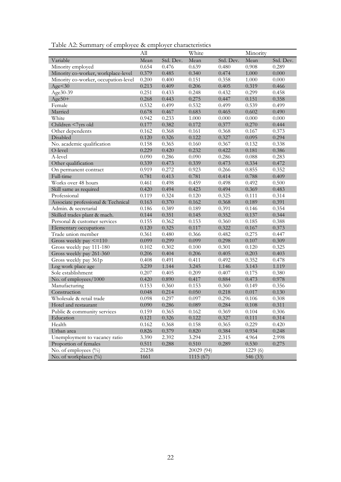Table A2: Summary of employee & employer characteristics

|                                      | All   |           | White      |           | Minority |           |
|--------------------------------------|-------|-----------|------------|-----------|----------|-----------|
| Variable                             | Mean  | Std. Dev. | Mean       | Std. Dev. | Mean     | Std. Dev. |
| Minority employed                    | 0.654 | 0.476     | 0.639      | 0.480     | 0.908    | 0.289     |
| Minority co-worker, workplace-level  | 0.379 | 0.485     | 0.340      | 0.474     | 1.000    | 0.000     |
| Minority co-worker, occupation-level | 0.200 | 0.400     | 0.151      | 0.358     | 1.000    | $0.000\,$ |
| Age < 30                             | 0.213 | 0.409     | 0.206      | 0.405     | 0.319    | 0.466     |
| Age30-39                             | 0.251 | 0.433     | 0.248      | 0.432     | 0.299    | 0.458     |
| $Age50+$                             | 0.268 | 0.443     | 0.275      | 0.447     | 0.151    | 0.358     |
| Female                               | 0.532 | 0.499     | 0.532      | 0.499     | 0.539    | 0.499     |
| Married                              | 0.678 | 0.467     | 0.683      | 0.465     | 0.602    | 0.490     |
| White                                | 0.942 | 0.233     | 1.000      | 0.000     | 0.000    | $0.000\,$ |
| Children <7yrs old                   | 0.177 | 0.382     | 0.172      | 0.377     | 0.270    | 0.444     |
| Other dependents                     | 0.162 | 0.368     | 0.161      | 0.368     | 0.167    | 0.373     |
| Disabled                             | 0.120 | 0.326     | 0.122      | 0.327     | 0.095    | 0.294     |
| No. academic qualification           | 0.158 | 0.365     | 0.160      | 0.367     | 0.132    | 0.338     |
| O-level                              | 0.229 | 0.420     | 0.232      | 0.422     | 0.181    | 0.386     |
| A-level                              | 0.090 | 0.286     | 0.090      | 0.286     | 0.088    | 0.283     |
| Other qualification                  | 0.339 | 0.473     | 0.339      | 0.473     | 0.334    | 0.472     |
| On permanent contract                | 0.919 | 0.272     | 0.923      | 0.266     | 0.855    | 0.352     |
| Full-time                            | 0.781 | 0.413     | 0.781      | 0.414     | 0.788    | 0.409     |
| Works over 48 hours                  | 0.461 | 0.498     | 0.459      | 0.498     | 0.492    | 0.500     |
| Skill same as required               | 0.420 | 0.494     | 0.423      | 0.494     | 0.369    | 0.483     |
| Professional                         | 0.119 | 0.324     | 0.120      | 0.325     | 0.111    | 0.314     |
| Associate professional & Technical   | 0.163 | 0.370     | 0.162      | 0.368     | 0.189    | 0.391     |
| Admin. & secretarial                 | 0.186 | 0.389     | 0.189      | 0.391     | 0.146    | 0.354     |
| Skilled trades plant & mach.         | 0.144 | 0.351     | 0.145      | 0.352     | 0.137    | 0.344     |
| Personal & customer services         | 0.155 | 0.362     | 0.153      | 0.360     | 0.185    | 0.388     |
| Elementary occupations               | 0.120 | 0.325     | 0.117      | 0.322     | 0.167    | 0.373     |
| Trade union member                   | 0.361 | 0.480     | 0.366      | 0.482     | 0.275    | 0.447     |
| Gross weekly pay $\leq$ =110         | 0.099 | 0.299     | 0.099      | 0.298     | 0.107    | 0.309     |
| Gross weekly pay 111-180             | 0.102 | 0.302     | 0.100      | 0.301     | 0.120    | 0.325     |
| Gross weekly pay 261-360             | 0.206 | 0.404     | 0.206      | 0.405     | 0.203    | 0.403     |
| Gross weekly pay 361p                | 0.408 | 0.491     | 0.411      | 0.492     | 0.352    | 0.478     |
| Log work place age                   | 3.239 | 1.144     | 3.245      | 1.146     | 3.143    | 1.119     |
| Sole establishment                   | 0.207 | 0.405     | 0.209      | 0.407     | 0.175    | 0.380     |
| No. of employees/1000                | 0.420 | 0.890     | 0.417      | 0.884     | 0.473    | 0.978     |
| Manufacturing                        | 0.153 | 0.360     | 0.153      | 0.360     | 0.149    | 0.356     |
| Construction                         | 0.048 | 0.214     | 0.050      | 0.218     | 0.017    | 0.130     |
| Wholesale & retail trade             | 0.098 | 0.297     | 0.097      | 0.296     | 0.106    | 0.308     |
| Hotel and restaurant                 | 0.090 | 0.286     | 0.089      | 0.284     | 0.108    | 0.311     |
| Public & community services          | 0.159 | 0.365     | 0.162      | 0.369     | 0.104    | 0.306     |
| Education                            | 0.121 | 0.326     | 0.122      | 0.327     | 0.111    | 0.314     |
| Health                               | 0.162 | 0.368     | 0.158      | 0.365     | 0.229    | 0.420     |
| Urban area                           | 0.826 | 0.379     | 0.820      | 0.384     | 0.934    | 0.248     |
| Unemployment to vacancy ratio        | 3.390 | 2.392     | 3.294      | 2.315     | 4.964    | 2.998     |
| Proportion of females                | 0.511 | 0.288     | 0.510      | 0.289     | 0.530    | 0.275     |
| No. of employees $(\%)$              | 21258 |           | 20029 (94) |           | 1229(6)  |           |
| No. of workplaces $(\%)$             | 1661  |           | 1115(67)   |           | 546 (33) |           |